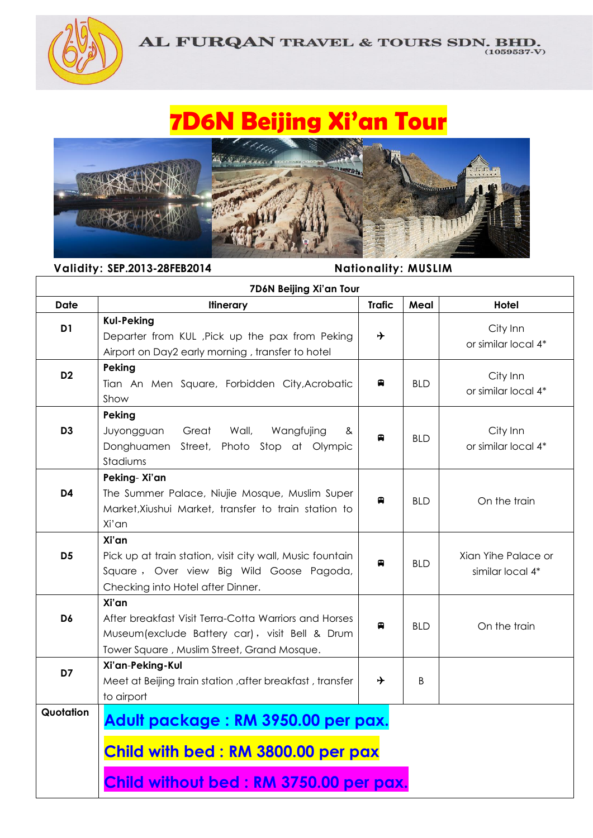

 $\overline{\phantom{a}}$ 

## **7D6N Beijing Xi'an Tour**



**Validity: SEP.2013-28FEB2014 Nationality: MUSLIM** 

| 7D6N Beijing Xi'an Tour |                                                                                                                                                                 |               |            |                                         |  |
|-------------------------|-----------------------------------------------------------------------------------------------------------------------------------------------------------------|---------------|------------|-----------------------------------------|--|
| <b>Date</b>             | <b>Itinerary</b>                                                                                                                                                | <b>Trafic</b> | Meal       | Hotel                                   |  |
| D <sub>1</sub>          | <b>Kul-Peking</b><br>Departer from KUL, Pick up the pax from Peking<br>Airport on Day2 early morning, transfer to hotel                                         | →             |            | City Inn<br>or similar local 4*         |  |
| D <sub>2</sub>          | Peking<br>Tian An Men Square, Forbidden City, Acrobatic<br>Show                                                                                                 | ₽             | <b>BLD</b> | City Inn<br>or similar local 4*         |  |
| D <sub>3</sub>          | Peking<br>Great<br>Juyongguan<br>Wall,<br>Wangfujing<br>&<br>Donghuamen Street, Photo Stop at Olympic<br>Stadiums                                               | €             | <b>BLD</b> | City Inn<br>or similar local 4*         |  |
| D <sub>4</sub>          | Peking-Xi'an<br>The Summer Palace, Niujie Mosque, Muslim Super<br>Market, Xiushui Market, transfer to train station to<br>Xi'an                                 | 曲             | <b>BLD</b> | On the train                            |  |
| D <sub>5</sub>          | Xi'an<br>Pick up at train station, visit city wall, Music fountain<br>Square, Over view Big Wild Goose Pagoda,<br>Checking into Hotel after Dinner.             | ⊞             | <b>BLD</b> | Xian Yihe Palace or<br>similar local 4* |  |
| D6                      | Xi'an<br>After breakfast Visit Terra-Cotta Warriors and Horses<br>Museum (exclude Battery car), visit Bell & Drum<br>Tower Square, Muslim Street, Grand Mosque. | €             | <b>BLD</b> | On the train                            |  |
| D7                      | Xi'an-Peking-Kul<br>Meet at Beijing train station , after breakfast, transfer<br>to airport                                                                     | ⊁             | B          |                                         |  |
| Quotation               | Adult package: RM 3950.00 per pax.<br>Child with bed: RM 3800.00 per pax<br>Child without bed: RM 3750.00 per pax.                                              |               |            |                                         |  |